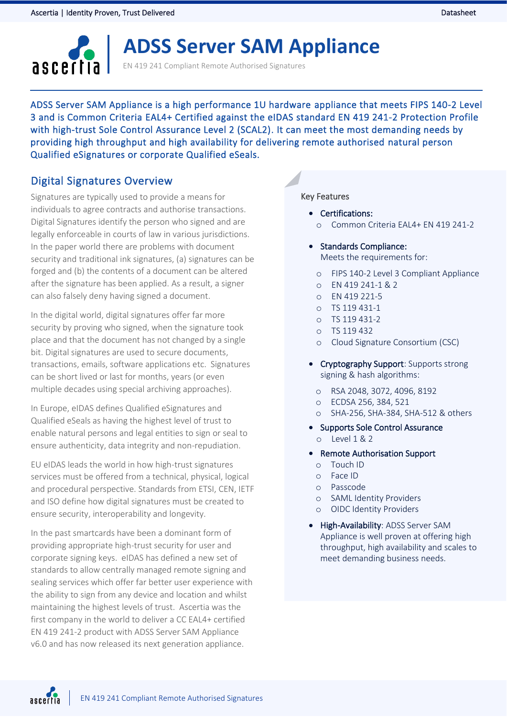

# **ADSS Server SAM Appliance**

EN 419 241 Compliant Remote Authorised Signatures

ADSS Server SAM Appliance is a high performance 1U hardware appliance that meets FIPS 140-2 Level 3 and is Common Criteria EAL4+ Certified against the eIDAS standard EN 419 241-2 Protection Profile with high-trust Sole Control Assurance Level 2 (SCAL2). It can meet the most demanding needs by providing high throughput and high availability for delivering remote authorised natural person Qualified eSignatures or corporate Qualified eSeals.

## Digital Signatures Overview

Signatures are typically used to provide a means for individuals to agree contracts and authorise transactions. Digital Signatures identify the person who signed and are legally enforceable in courts of law in various jurisdictions. In the paper world there are problems with document security and traditional ink signatures, (a) signatures can be forged and (b) the contents of a document can be altered after the signature has been applied. As a result, a signer can also falsely deny having signed a document.

In the digital world, digital signatures offer far more security by proving who signed, when the signature took place and that the document has not changed by a single bit. Digital signatures are used to secure documents, transactions, emails, software applications etc. Signatures can be short lived or last for months, years (or even multiple decades using special archiving approaches).

In Europe, eIDAS defines Qualified eSignatures and Qualified eSeals as having the highest level of trust to enable natural persons and legal entities to sign or seal to ensure authenticity, data integrity and non-repudiation.

EU eIDAS leads the world in how high-trust signatures services must be offered from a technical, physical, logical and procedural perspective. Standards from ETSI, CEN, IETF and ISO define how digital signatures must be created to ensure security, interoperability and longevity.

In the past smartcards have been a dominant form of providing appropriate high-trust security for user and corporate signing keys. eIDAS has defined a new set of standards to allow centrally managed remote signing and sealing services which offer far better user experience with the ability to sign from any device and location and whilst maintaining the highest levels of trust. Ascertia was the first company in the world to deliver a CC EAL4+ certified EN 419 241-2 product with ADSS Server SAM Appliance v6.0 and has now released its next generation appliance.

#### Key Features

- Certifications:
	- o Common Criteria EAL4+ EN 419 241-2
- Standards Compliance:

Meets the requirements for:

- o FIPS 140-2 Level 3 Compliant Appliance
- $O$  FN 419 241-1 & 2
- o EN 419 221-5
- o TS 119 431-1
- o TS 119 431-2
- o TS 119 432
- o Cloud Signature Consortium (CSC)
- Cryptography Support: Supports strong signing & hash algorithms:
	- o RSA 2048, 3072, 4096, 8192
	- o ECDSA 256, 384, 521
	- o SHA-256, SHA-384, SHA-512 & others
- Supports Sole Control Assurance
	- o Level 1 & 2
- Remote Authorisation Support
	- o Touch ID
	- o Face ID
	- o Passcode
	- o SAML Identity Providers
	- o OIDC Identity Providers
- High-Availability: ADSS Server SAM Appliance is well proven at offering high throughput, high availability and scales to meet demanding business needs.

ascertia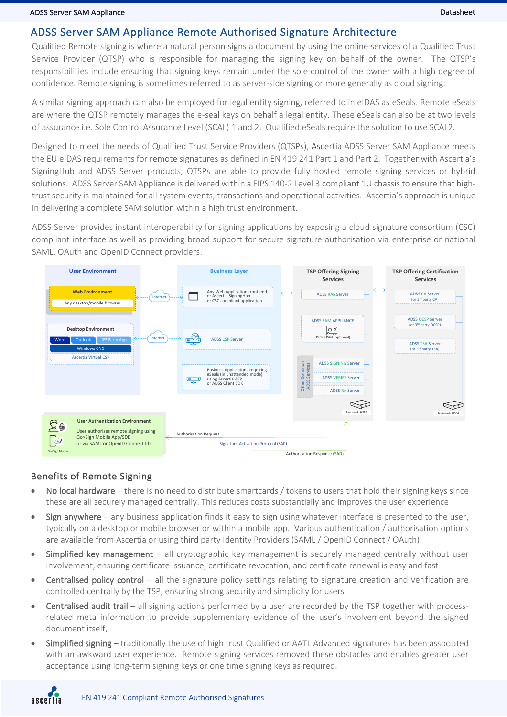## ADSS Server SAM Appliance Remote Authorised Signature Architecture

Qualified Remote signing is where a natural person signs a document by using the online services of a Qualified Trust Service Provider (QTSP) who is responsible for managing the signing key on behalf of the owner. The QTSP's responsibilities include ensuring that signing keys remain under the sole control of the owner with a high degree of confidence. Remote signing is sometimes referred to as server-side signing or more generally as cloud signing.

A similar signing approach can also be employed for legal entity signing, referred to in eIDAS as eSeals. Remote eSeals are where the QTSP remotely manages the e-seal keys on behalf a legal entity. These eSeals can also be at two levels of assurance i.e. Sole Control Assurance Level (SCAL) 1 and 2. Qualified eSeals require the solution to use SCAL2.

Designed to meet the needs of Qualified Trust Service Providers (QTSPs), Ascertia ADSS Server SAM Appliance meets the EU eIDAS requirements for remote signatures as defined in EN 419 241 Part 1 and Part 2. Together with Ascertia's SigningHub and ADSS Server products, QTSPs are able to provide fully hosted remote signing services or hybrid solutions. ADSS Server SAM Appliance is delivered within a FIPS 140-2 Level 3 compliant 1U chassis to ensure that hightrust security is maintained for all system events, transactions and operational activities. Ascertia's approach is unique in delivering a complete SAM solution within a high trust environment.

ADSS Server provides instant interoperability for signing applications by exposing a cloud signature consortium (CSC) compliant interface as well as providing broad support for secure signature authorisation via enterprise or national SAML, OAuth and OpenID Connect providers.



### Benefits of Remote Signing

- No local hardware there is no need to distribute smartcards / tokens to users that hold their signing keys since these are all securely managed centrally. This reduces costs substantially and improves the user experience
- Sign anywhere any business application finds it easy to sign using whatever interface is presented to the user, typically on a desktop or mobile browser or within a mobile app. Various authentication / authorisation options are available from Ascertia or using third party Identity Providers (SAML / OpenID Connect / OAuth)
- Simplified key management all cryptographic key management is securely managed centrally without user involvement, ensuring certificate issuance, certificate revocation, and certificate renewal is easy and fast
- Centralised policy control all the signature policy settings relating to signature creation and verification are controlled centrally by the TSP, ensuring strong security and simplicity for users
- **Centralised audit trail** all signing actions performed by a user are recorded by the TSP together with processrelated meta information to provide supplementary evidence of the user's involvement beyond the signed document itself.
- Simplified signing traditionally the use of high trust Qualified or AATL Advanced signatures has been associated with an awkward user experience. Remote signing services removed these obstacles and enables greater user acceptance using long-term signing keys or one time signing keys as required.